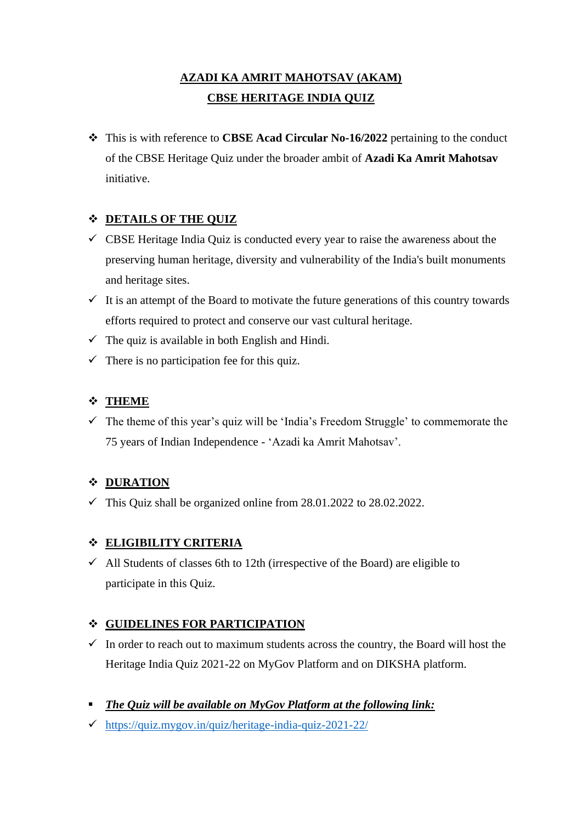# **AZADI KA AMRIT MAHOTSAV (AKAM) CBSE HERITAGE INDIA QUIZ**

❖ This is with reference to **CBSE Acad Circular No-16/2022** pertaining to the conduct of the CBSE Heritage Quiz under the broader ambit of **Azadi Ka Amrit Mahotsav**  initiative.

## ❖ **DETAILS OF THE QUIZ**

- $\checkmark$  CBSE Heritage India Quiz is conducted every year to raise the awareness about the preserving human heritage, diversity and vulnerability of the India's built monuments and heritage sites.
- $\checkmark$  It is an attempt of the Board to motivate the future generations of this country towards efforts required to protect and conserve our vast cultural heritage.
- $\checkmark$  The quiz is available in both English and Hindi.
- $\checkmark$  There is no participation fee for this quiz.

### ❖ **THEME**

 $\checkmark$  The theme of this year's quiz will be 'India's Freedom Struggle' to commemorate the 75 years of Indian Independence - 'Azadi ka Amrit Mahotsav'.

## ❖ **DURATION**

 $\checkmark$  This Quiz shall be organized online from 28.01.2022 to 28.02.2022.

#### ❖ **ELIGIBILITY CRITERIA**

 $\checkmark$  All Students of classes 6th to 12th (irrespective of the Board) are eligible to participate in this Quiz.

#### ❖ **GUIDELINES FOR PARTICIPATION**

- $\checkmark$  In order to reach out to maximum students across the country, the Board will host the Heritage India Quiz 2021-22 on MyGov Platform and on DIKSHA platform.
- *The Quiz will be available on MyGov Platform at the following link:*
- ✓ <https://quiz.mygov.in/quiz/heritage-india-quiz-2021-22/>